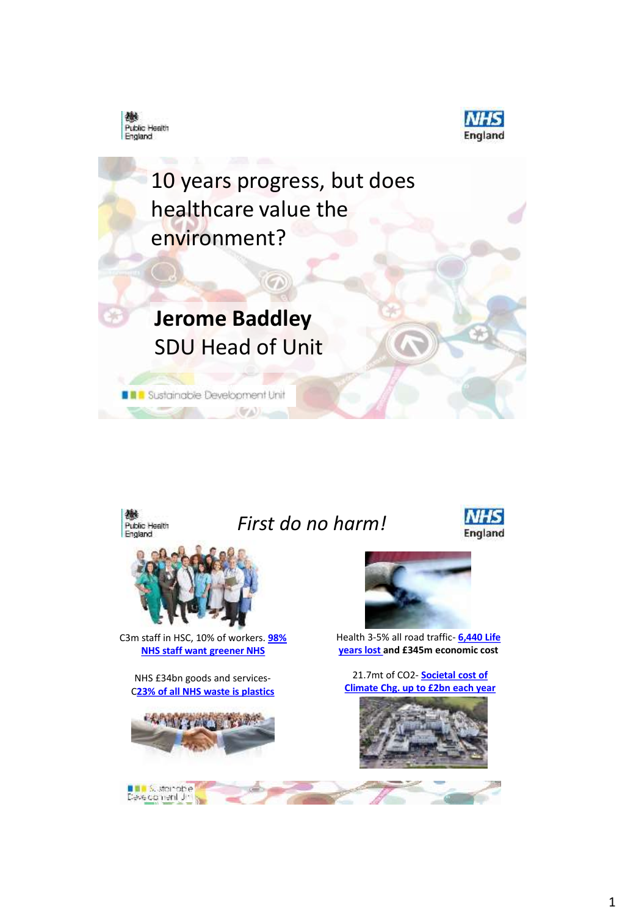



10 years progress, but does healthcare value the environment?

## **Jerome Baddley** SDU Head of Unit

 $(\sigma \wedge)$ 

**BR** Sustainable Development Unit



## *First do no harm!*





C3m [staff in HSC, 10% of workers.](https://www.sduhealth.org.uk/areas-of-focus/leadership-engagement-and-workforce-development/engagement/staff-and-sustainability-survey.aspx) **98% NHS staff want greener NHS** 

NHS £34bn goods and services-C**[23% of all NHS waste is plastics](http://www.wrap.org.uk/sites/files/wrap/The compostion of waste from three sectors in Scotland.pdf)**



**Diale** Sustainable<br>Development Jim



Health 3-5% all road traffic- **6,440 Life [years lost and £345m economic cost](http://www.sduhealth.org.uk/delivery/measure/health-outcomes-travel-tool.aspx)**

21.7mt of CO2- **Societal cost of [Climate Chg. up to £2bn each year](https://www.gov.uk/government/publications/valuation-of-energy-use-and-greenhouse-gas-emissions-for-appraisal)**

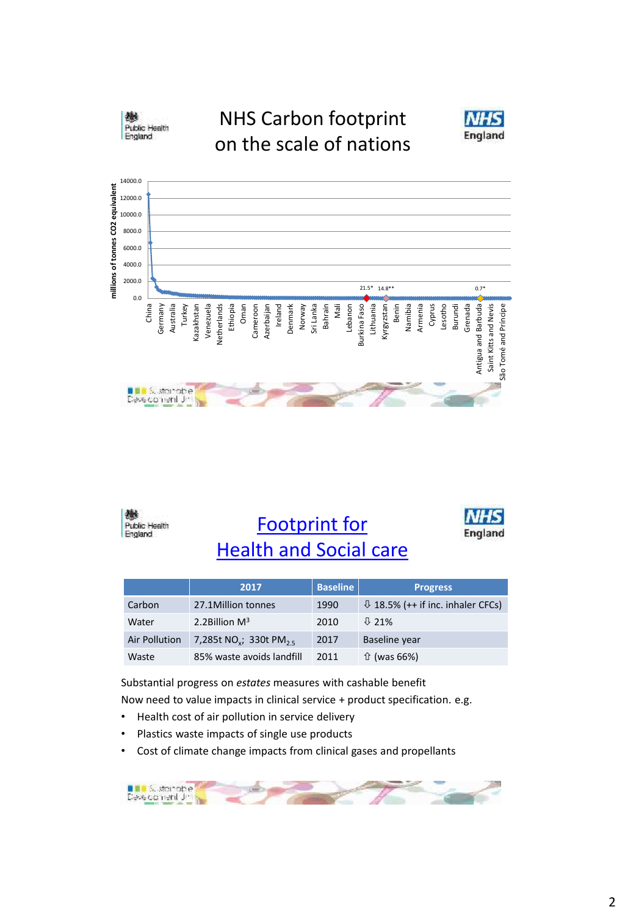

## NHS Carbon footprint on the scale of nations







Footprint for [Health and Social care](https://www.sduhealth.org.uk/policy-strategy/reporting/natural-resource-footprint-2018.aspx)



|               | 2017                                           | <b>Baseline</b> | <b>Progress</b>                           |
|---------------|------------------------------------------------|-----------------|-------------------------------------------|
| Carbon        | 27.1Million tonnes                             | 1990            | $\sqrt{18.5\%}$ (++ if inc. inhaler CFCs) |
| Water         | 2.2Billion $M^3$                               | 2010            | $J\bar{2}$ 21%                            |
| Air Pollution | 7,285t NO <sub>v</sub> ; 330t PM <sub>25</sub> | 2017            | Baseline year                             |
| Waste         | 85% waste avoids landfill                      | 2011            | $\hat{U}$ (was 66%)                       |

Substantial progress on *estates* measures with cashable benefit Now need to value impacts in clinical service + product specification. e.g.

- Health cost of air pollution in service delivery
- Plastics waste impacts of single use products
- Cost of climate change impacts from clinical gases and propellants